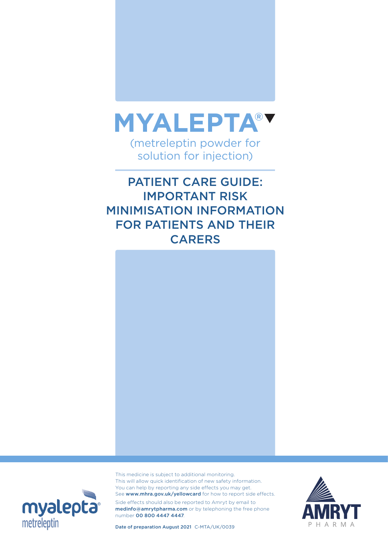

PATIENT CARE GUIDE: IMPORTANT RISK MINIMISATION INFORMATION FOR PATIENTS AND THEIR **CARERS** 





This medicine is subject to additional monitoring. This will allow quick identification of new safety information. You can help by reporting any side effects you may get. See www.mhra.gov.uk/yellowcard for how to report side effects.

Side effects should also be reported to Amryt by email to medinfo@amrytpharma.com or by telephoning the free phone number 00 800 4447 4447.



Date of preparation August 2021 C-MTA/UK/0039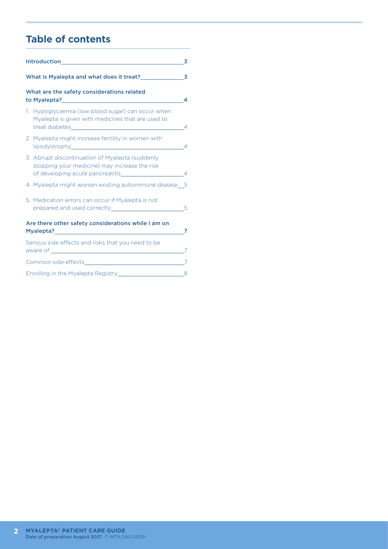# **Table of contents**

| <b>Introduction</b><br>3                                 |                                                                                                                                                                                       |   |  |
|----------------------------------------------------------|---------------------------------------------------------------------------------------------------------------------------------------------------------------------------------------|---|--|
|                                                          | What is Myalepta and what does it treat?                                                                                                                                              |   |  |
| What are the safety considerations related<br>4          |                                                                                                                                                                                       |   |  |
| 1.                                                       | Hypoglycaemia (low blood sugar) can occur when<br>Myalepta is given with medicines that are used to                                                                                   | 4 |  |
|                                                          | 2. Myalepta might increase fertility in women with                                                                                                                                    | 4 |  |
|                                                          | 3. Abrupt discontinuation of Myalepta (suddenly<br>stopping your medicine) may increase the risk<br>of developing acute pancreatitis and the control of developing acute pancreatitis | 4 |  |
|                                                          | 4. Myalepta might worsen existing autoimmune disease_5                                                                                                                                |   |  |
|                                                          | 5. Medication errors can occur if Myalepta is not                                                                                                                                     | 5 |  |
| Are there other safety considerations while I am on<br>7 |                                                                                                                                                                                       |   |  |
| Serious side effects and risks that you need to be<br>7  |                                                                                                                                                                                       |   |  |
|                                                          |                                                                                                                                                                                       |   |  |
|                                                          | 8                                                                                                                                                                                     |   |  |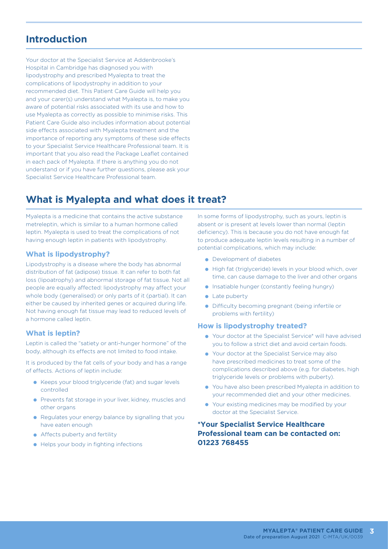# **Introduction**

Your doctor at the Specialist Service at Addenbrooke's Hospital in Cambridge has diagnosed you with lipodystrophy and prescribed Myalepta to treat the complications of lipodystrophy in addition to your recommended diet. This Patient Care Guide will help you and your carer(s) understand what Myalepta is, to make you aware of potential risks associated with its use and how to use Myalepta as correctly as possible to minimise risks. This Patient Care Guide also includes information about potential side effects associated with Myalepta treatment and the importance of reporting any symptoms of these side effects to your Specialist Service Healthcare Professional team. It is important that you also read the Package Leaflet contained in each pack of Myalepta. If there is anything you do not understand or if you have further questions, please ask your Specialist Service Healthcare Professional team.

# **What is Myalepta and what does it treat?**

Myalepta is a medicine that contains the active substance metreleptin, which is similar to a human hormone called leptin. Myalepta is used to treat the complications of not having enough leptin in patients with lipodystrophy.

#### **What is lipodystrophy?**

Lipodystrophy is a disease where the body has abnormal distribution of fat (adipose) tissue. It can refer to both fat loss (lipoatrophy) and abnormal storage of fat tissue. Not all people are equally affected: lipodystrophy may affect your whole body (generalised) or only parts of it (partial). It can either be caused by inherited genes or acquired during life. Not having enough fat tissue may lead to reduced levels of a hormone called leptin.

### **What is leptin?**

Leptin is called the "satiety or anti-hunger hormone" of the body, although its effects are not limited to food intake.

It is produced by the fat cells of your body and has a range of effects. Actions of leptin include:

- Keeps your blood triglyceride (fat) and sugar levels controlled
- **•** Prevents fat storage in your liver, kidney, muscles and other organs
- Regulates your energy balance by signalling that you have eaten enough
- **Affects puberty and fertility**
- **•** Helps your body in fighting infections

In some forms of lipodystrophy, such as yours, leptin is absent or is present at levels lower than normal (leptin deficiency). This is because you do not have enough fat to produce adequate leptin levels resulting in a number of potential complications, which may include:

- **•** Development of diabetes
- High fat (triglyceride) levels in your blood which, over time, can cause damage to the liver and other organs
- **.** Insatiable hunger (constantly feeling hungry)
- Late puberty
- **•** Difficulty becoming pregnant (being infertile or problems with fertility)

#### **How is lipodystrophy treated?**

- Your doctor at the Specialist Service\* will have advised you to follow a strict diet and avoid certain foods.
- Your doctor at the Specialist Service may also have prescribed medicines to treat some of the complications described above (e.g. for diabetes, high triglyceride levels or problems with puberty).
- You have also been prescribed Myalepta in addition to your recommended diet and your other medicines.
- Your existing medicines may be modified by your doctor at the Specialist Service.

### **\*Your Specialist Service Healthcare Professional team can be contacted on: 01223 768455**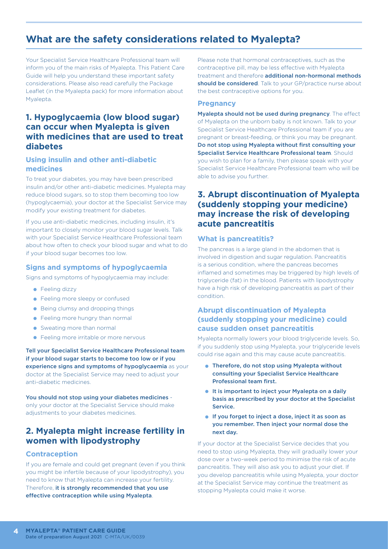# **What are the safety considerations related to Myalepta?**

Your Specialist Service Healthcare Professional team will inform you of the main risks of Myalepta. This Patient Care Guide will help you understand these important safety considerations. Please also read carefully the Package Leaflet (in the Myalepta pack) for more information about Myalepta.

## **1. Hypoglycaemia (low blood sugar) can occur when Myalepta is given with medicines that are used to treat diabetes**

### **Using insulin and other anti-diabetic medicines**

To treat your diabetes, you may have been prescribed insulin and/or other anti-diabetic medicines. Myalepta may reduce blood sugars, so to stop them becoming too low (hypoglycaemia), your doctor at the Specialist Service may modify your existing treatment for diabetes.

If you use anti-diabetic medicines, including insulin, it's important to closely monitor your blood sugar levels. Talk with your Specialist Service Healthcare Professional team about how often to check your blood sugar and what to do if your blood sugar becomes too low.

### **Signs and symptoms of hypoglycaemia**

Signs and symptoms of hypoglycaemia may include:

- **•** Feeling dizzy
- Feeling more sleepy or confused
- **•** Being clumsy and dropping things
- **•** Feeling more hungry than normal
- Sweating more than normal
- **•** Feeling more irritable or more nervous

Tell your Specialist Service Healthcare Professional team if your blood sugar starts to become too low or if you experience signs and symptoms of hypoglycaemia as your doctor at the Specialist Service may need to adjust your anti-diabetic medicines.

You should not stop using your diabetes medicines only your doctor at the Specialist Service should make adjustments to your diabetes medicines.

## **2. Myalepta might increase fertility in women with lipodystrophy**

#### **Contraception**

If you are female and could get pregnant (even if you think you might be infertile because of your lipodystrophy), you need to know that Myalepta can increase your fertility. Therefore, it is strongly recommended that you use effective contraception while using Myalepta.

Please note that hormonal contraceptives, such as the contraceptive pill, may be less effective with Myalepta treatment and therefore additional non-hormonal methods should be considered. Talk to your GP/practice nurse about the best contraceptive options for you.

#### **Pregnancy**

Myalepta should not be used during pregnancy. The effect of Myalepta on the unborn baby is not known. Talk to your Specialist Service Healthcare Professional team if you are pregnant or breast-feeding, or think you may be pregnant. Do not stop using Myalepta without first consulting your Specialist Service Healthcare Professional team. Should you wish to plan for a family, then please speak with your Specialist Service Healthcare Professional team who will be able to advise you further.

## **3. Abrupt discontinuation of Myalepta (suddenly stopping your medicine) may increase the risk of developing acute pancreatitis**

#### **What is pancreatitis?**

The pancreas is a large gland in the abdomen that is involved in digestion and sugar regulation. Pancreatitis is a serious condition, where the pancreas becomes inflamed and sometimes may be triggered by high levels of triglyceride (fat) in the blood. Patients with lipodystrophy have a high risk of developing pancreatitis as part of their condition.

### **Abrupt discontinuation of Myalepta (suddenly stopping your medicine) could cause sudden onset pancreatitis**

Myalepta normally lowers your blood triglyceride levels. So, if you suddenly stop using Myalepta, your triglyceride levels could rise again and this may cause acute pancreatitis.

- Therefore, do not stop using Myalepta without consulting your Specialist Service Healthcare Professional team first.
- It is important to inject your Myalepta on a daily basis as prescribed by your doctor at the Specialist Service.
- **If you forget to inject a dose, inject it as soon as** you remember. Then inject your normal dose the next day.

If your doctor at the Specialist Service decides that you need to stop using Myalepta, they will gradually lower your dose over a two-week period to minimise the risk of acute pancreatitis. They will also ask you to adjust your diet. If you develop pancreatitis while using Myalepta, your doctor at the Specialist Service may continue the treatment as stopping Myalepta could make it worse.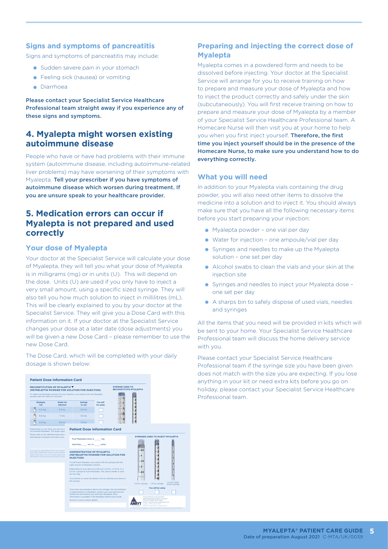### **Signs and symptoms of pancreatitis**

Signs and symptoms of pancreatitis may include:

- **Sudden severe pain in your stomach**
- **•** Feeling sick (nausea) or vomiting
- **C** Diarrhoea

Please contact your Specialist Service Healthcare Professional team straight away if you experience any of these signs and symptoms.

## **4. Myalepta might worsen existing autoimmune disease**

People who have or have had problems with their immune system (autoimmune disease, including autoimmune-related liver problems) may have worsening of their symptoms with Myalepta. Tell your prescriber if you have symptoms of autoimmune disease which worsen during treatment. If you are unsure speak to your healthcare provider.

## **5. Medication errors can occur if Myalepta is not prepared and used correctly**

#### **Your dose of Myalepta**

Your doctor at the Specialist Service will calculate your dose of Myalepta, they will tell you what your dose of Myalepta is in milligrams (mg) or in units (U). This will depend on the dose. Units (U) are used if you only have to inject a very small amount, using a specific sized syringe. They will also tell you how much solution to inject in millilitres (mL). This will be clearly explained to you by your doctor at the Specialist Service. They will give you a Dose Card with this information on it. If your doctor at the Specialist Service changes your dose at a later date (dose adjustments) you will be given a new Dose Card – please remember to use the new Dose Card.

The Dose Card, which will be completed with your daily dosage is shown below:



### **Preparing and injecting the correct dose of Myalepta**

Myalepta comes in a powdered form and needs to be dissolved before injecting. Your doctor at the Specialist Service will arrange for you to receive training on how to prepare and measure your dose of Myalepta and how to inject the product correctly and safely under the skin (subcutaneously). You will first receive training on how to prepare and measure your dose of Myalepta by a member of your Specialist Service Healthcare Professional team. A Homecare Nurse will then visit you at your home to help you when you first inject yourself. Therefore, the first time you inject yourself should be in the presence of the Homecare Nurse, to make sure you understand how to do everything correctly.

#### **What you will need**

In addition to your Myalepta vials containing the drug powder, you will also need other items to dissolve the medicine into a solution and to inject it. You should always make sure that you have all the following necessary items before you start preparing your injection:

- Myalepta powder one vial per day
- Water for injection one ampoule/vial per day
- Syringes and needles to make up the Myalepta solution – one set per day
- Alcohol swabs to clean the vials and your skin at the injection site
- Syringes and needles to inject your Myalepta dose one set per day
- A sharps bin to safely dispose of used vials, needles and syringes

All the items that you need will be provided in kits which will be sent to your home. Your Specialist Service Healthcare Professional team will discuss the home delivery service with you.

Please contact your Specialist Service Healthcare Professional team if the syringe size you have been given does not match with the size you are expecting. If you lose anything in your kit or need extra kits before you go on holiday, please contact your Specialist Service Healthcare Professional team.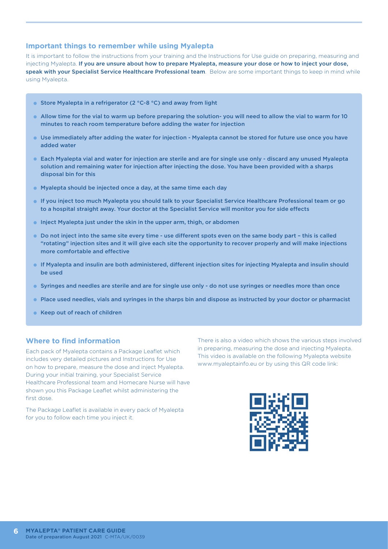### **Important things to remember while using Myalepta**

It is important to follow the instructions from your training and the Instructions for Use guide on preparing, measuring and injecting Myalepta. If you are unsure about how to prepare Myalepta, measure your dose or how to inject your dose, speak with your Specialist Service Healthcare Professional team. Below are some important things to keep in mind while using Myalepta.

- Store Myalepta in a refrigerator (2 °C-8 °C) and away from light
- Allow time for the vial to warm up before preparing the solution- you will need to allow the vial to warm for 10 minutes to reach room temperature before adding the water for injection
- Use immediately after adding the water for injection Myalepta cannot be stored for future use once you have added water
- Each Myalepta vial and water for injection are sterile and are for single use only discard any unused Myalepta solution and remaining water for injection after injecting the dose. You have been provided with a sharps disposal bin for this
- **Myalepta should be injected once a day, at the same time each day**
- If you inject too much Myalepta you should talk to your Specialist Service Healthcare Professional team or go to a hospital straight away. Your doctor at the Specialist Service will monitor you for side effects
- **Inject Myalepta just under the skin in the upper arm, thigh, or abdomen**
- Do not inject into the same site every time use different spots even on the same body part this is called "rotating" injection sites and it will give each site the opportunity to recover properly and will make injections more comfortable and effective
- If Myalepta and insulin are both administered, different injection sites for injecting Myalepta and insulin should be used
- Syringes and needles are sterile and are for single use only do not use syringes or needles more than once
- Place used needles, vials and syringes in the sharps bin and dispose as instructed by your doctor or pharmacist
- Keep out of reach of children

### **Where to find information**

Each pack of Myalepta contains a Package Leaflet which includes very detailed pictures and Instructions for Use on how to prepare, measure the dose and inject Myalepta. During your initial training, your Specialist Service Healthcare Professional team and Homecare Nurse will have shown you this Package Leaflet whilst administering the first dose.

The Package Leaflet is available in every pack of Myalepta for you to follow each time you inject it.

There is also a video which shows the various steps involved in preparing, measuring the dose and injecting Myalepta. This video is available on the following Myalepta website www.myaleptainfo.eu or by using this QR code link:

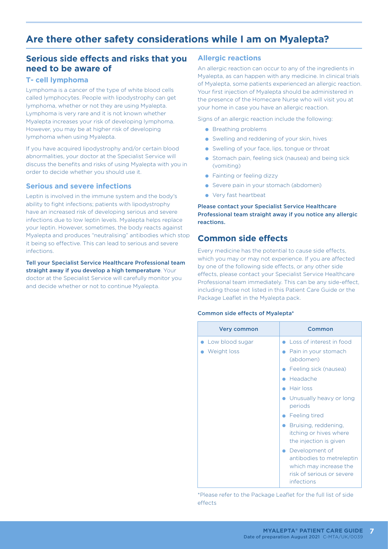# **Are there other safety considerations while I am on Myalepta?**

# **Serious side effects and risks that you need to be aware of**

### **T- cell lymphoma**

Lymphoma is a cancer of the type of white blood cells called lymphocytes. People with lipodystrophy can get lymphoma, whether or not they are using Myalepta. Lymphoma is very rare and it is not known whether Myalepta increases your risk of developing lymphoma. However, you may be at higher risk of developing lymphoma when using Myalepta.

If you have acquired lipodystrophy and/or certain blood abnormalities, your doctor at the Specialist Service will discuss the benefits and risks of using Myalepta with you in order to decide whether you should use it.

#### **Serious and severe infections**

Leptin is involved in the immune system and the body's ability to fight infections; patients with lipodystrophy have an increased risk of developing serious and severe infections due to low leptin levels. Myalepta helps replace your leptin. However, sometimes, the body reacts against Myalepta and produces "neutralising" antibodies which stop it being so effective. This can lead to serious and severe infections.

Tell your Specialist Service Healthcare Professional team straight away if you develop a high temperature. Your doctor at the Specialist Service will carefully monitor you and decide whether or not to continue Myalepta.

#### **Allergic reactions**

An allergic reaction can occur to any of the ingredients in Myalepta, as can happen with any medicine. In clinical trials of Myalepta, some patients experienced an allergic reaction. Your first injection of Myalepta should be administered in the presence of the Homecare Nurse who will visit you at your home in case you have an allergic reaction.

Signs of an allergic reaction include the following:

- **Breathing problems**
- **•** Swelling and reddening of your skin, hives
- **•** Swelling of your face, lips, tongue or throat
- **Stomach pain, feeling sick (nausea) and being sick** (vomiting)
- **•** Fainting or feeling dizzy
- Severe pain in your stomach (abdomen)
- Very fast heartbeat

Please contact your Specialist Service Healthcare Professional team straight away if you notice any allergic reactions.

# **Common side effects**

Every medicine has the potential to cause side effects, which you may or may not experience. If you are affected by one of the following side effects, or any other side effects, please contact your Specialist Service Healthcare Professional team immediately. This can be any side-effect, including those not listed in this Patient Care Guide or the Package Leaflet in the Myalepta pack.

#### Common side effects of Myalepta\*

| <b>Very common</b>             | Common                                                                                                           |
|--------------------------------|------------------------------------------------------------------------------------------------------------------|
| Low blood sugar<br>Weight loss | Loss of interest in food<br>Pain in your stomach<br>(abdomen)                                                    |
|                                | • Feeling sick (nausea)<br>Headache                                                                              |
|                                | Hair loss<br>• Unusually heavy or long<br>periods                                                                |
|                                | • Feeling tired                                                                                                  |
|                                | Bruising, reddening,<br>itching or hives where<br>the injection is given                                         |
|                                | Development of<br>antibodies to metreleptin<br>which may increase the<br>risk of serious or severe<br>infections |

\*Please refer to the Package Leaflet for the full list of side effects